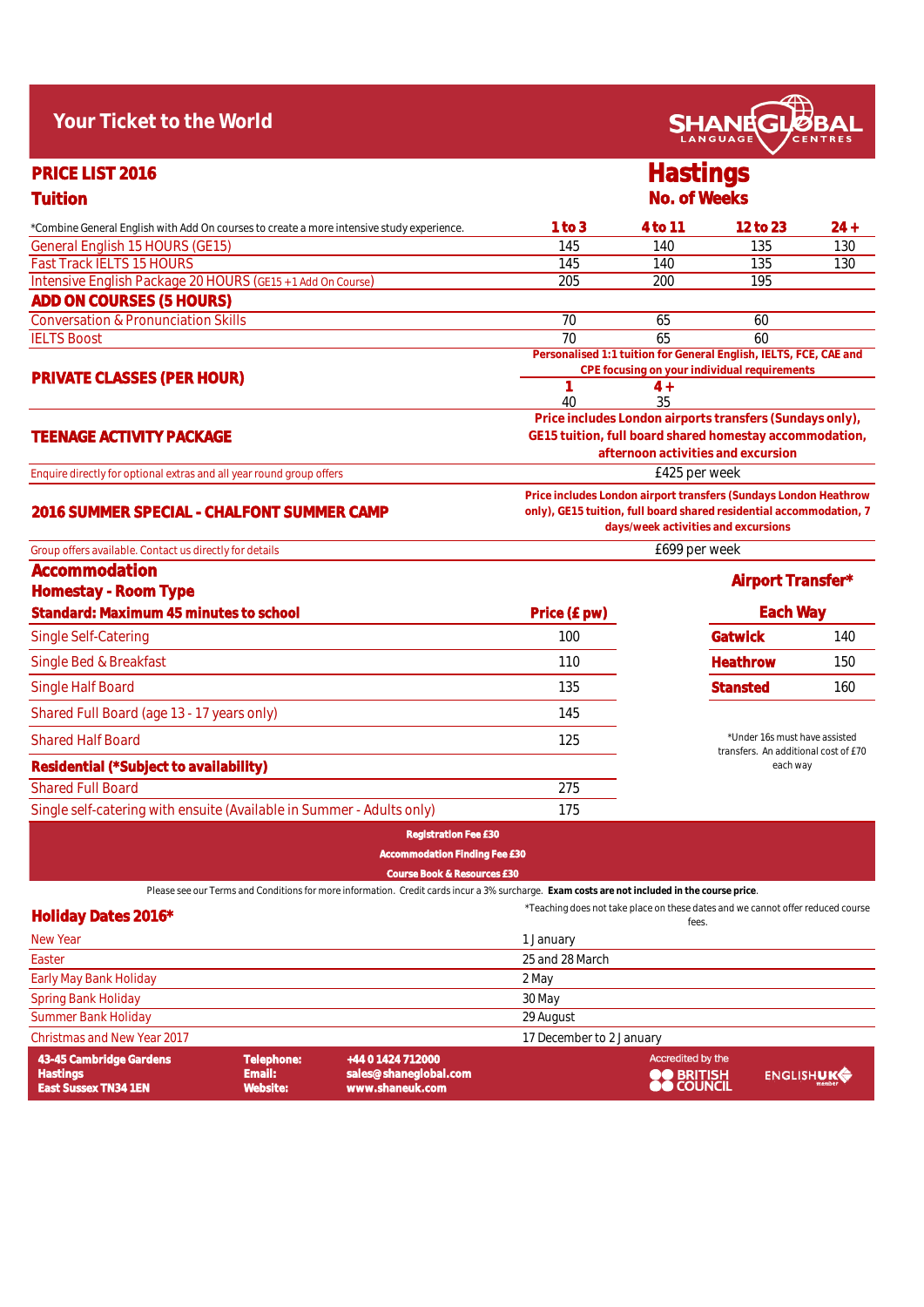| Your Ticket to the World                                                                                                                      |                                                                                                                                                                                |                 | <b>SHANEGLØB</b>                                                                                                  |        |  |
|-----------------------------------------------------------------------------------------------------------------------------------------------|--------------------------------------------------------------------------------------------------------------------------------------------------------------------------------|-----------------|-------------------------------------------------------------------------------------------------------------------|--------|--|
| PRICE LIST 2016                                                                                                                               |                                                                                                                                                                                | <b>Hastings</b> |                                                                                                                   |        |  |
| <b>Tuition</b>                                                                                                                                |                                                                                                                                                                                | No. of Weeks    |                                                                                                                   |        |  |
| *Combine General English with Add On courses to create a more intensive study experience.                                                     | 1 to 3                                                                                                                                                                         | 4 to 11         | 12 to 23                                                                                                          | $24 +$ |  |
| General English 15 HOURS (GE15)                                                                                                               | 145                                                                                                                                                                            | 140             | 135                                                                                                               | 130    |  |
| <b>Fast Track IELTS 15 HOURS</b>                                                                                                              | 145                                                                                                                                                                            | 140             | 135                                                                                                               | 130    |  |
| Intensive English Package 20 HOURS (GE15 + 1 Add On Course)                                                                                   | 205                                                                                                                                                                            | 200             | 195                                                                                                               |        |  |
| ADD ON COURSES (5 HOURS)                                                                                                                      |                                                                                                                                                                                |                 |                                                                                                                   |        |  |
| <b>Conversation &amp; Pronunciation Skills</b>                                                                                                | 70                                                                                                                                                                             | 65              | 60                                                                                                                |        |  |
| <b>IELTS Boost</b>                                                                                                                            | 70                                                                                                                                                                             | 65              | 60                                                                                                                |        |  |
|                                                                                                                                               |                                                                                                                                                                                |                 | Personalised 1:1 tuition for General English, IELTS, FCE, CAE and<br>CPE focusing on your individual requirements |        |  |
| PRIVATE CLASSES (PER HOUR)                                                                                                                    | 1                                                                                                                                                                              | $4+$            |                                                                                                                   |        |  |
|                                                                                                                                               | 40                                                                                                                                                                             | 35              |                                                                                                                   |        |  |
|                                                                                                                                               |                                                                                                                                                                                |                 | Price includes London airports transfers (Sundays only),                                                          |        |  |
| <b>TEENAGE ACTIVITY PACKAGE</b>                                                                                                               |                                                                                                                                                                                |                 | GE15 tuition, full board shared homestay accommodation,<br>afternoon activities and excursion                     |        |  |
| Enquire directly for optional extras and all year round group offers                                                                          |                                                                                                                                                                                | £425 per week   |                                                                                                                   |        |  |
| 2016 SUMMER SPECIAL - CHALFONT SUMMER CAMP                                                                                                    | Price includes London airport transfers (Sundays London Heathrow<br>only), GE15 tuition, full board shared residential accommodation, 7<br>days/week activities and excursions |                 |                                                                                                                   |        |  |
| Group offers available. Contact us directly for details                                                                                       | £699 per week                                                                                                                                                                  |                 |                                                                                                                   |        |  |
| Accommodation                                                                                                                                 |                                                                                                                                                                                |                 | Airport Transfer*                                                                                                 |        |  |
| Homestay - Room Type                                                                                                                          |                                                                                                                                                                                |                 |                                                                                                                   |        |  |
| Standard: Maximum 45 minutes to school                                                                                                        | Price (£ pw)                                                                                                                                                                   |                 | Each Way                                                                                                          |        |  |
| Single Self-Catering                                                                                                                          | 100                                                                                                                                                                            |                 | Gatwick                                                                                                           | 140    |  |
| Single Bed & Breakfast                                                                                                                        | 110                                                                                                                                                                            |                 | Heathrow                                                                                                          | 150    |  |
| Single Half Board                                                                                                                             | 135                                                                                                                                                                            |                 | <b>Stansted</b>                                                                                                   | 160    |  |
| Shared Full Board (age 13 - 17 years only)                                                                                                    | 145                                                                                                                                                                            |                 |                                                                                                                   |        |  |
| <b>Shared Half Board</b>                                                                                                                      | 125                                                                                                                                                                            |                 | *Under 16s must have assisted<br>transfers. An additional cost of £70                                             |        |  |
| Residential (*Subject to availability)                                                                                                        |                                                                                                                                                                                |                 | each way                                                                                                          |        |  |
| <b>Shared Full Board</b>                                                                                                                      | 275                                                                                                                                                                            |                 |                                                                                                                   |        |  |
| Single self-catering with ensuite (Available in Summer - Adults only)                                                                         | 175                                                                                                                                                                            |                 |                                                                                                                   |        |  |
| <b>Registration Fee £30</b>                                                                                                                   |                                                                                                                                                                                |                 |                                                                                                                   |        |  |
| <b>Accommodation Finding Fee £30</b>                                                                                                          |                                                                                                                                                                                |                 |                                                                                                                   |        |  |
| Course Book & Resources £30                                                                                                                   |                                                                                                                                                                                |                 |                                                                                                                   |        |  |
| Please see our Terms and Conditions for more information. Credit cards incur a 3% surcharge. Exam costs are not included in the course price. |                                                                                                                                                                                |                 | *Teaching does not take place on these dates and we cannot offer reduced course                                   |        |  |
| Holiday Dates 2016*                                                                                                                           |                                                                                                                                                                                | fees.           |                                                                                                                   |        |  |
| New Year                                                                                                                                      | 1 January                                                                                                                                                                      |                 |                                                                                                                   |        |  |
| Easter                                                                                                                                        | 25 and 28 March                                                                                                                                                                |                 |                                                                                                                   |        |  |
| Early May Bank Holiday                                                                                                                        | 2 May                                                                                                                                                                          |                 |                                                                                                                   |        |  |
| Spring Bank Holiday                                                                                                                           | 30 May                                                                                                                                                                         |                 |                                                                                                                   |        |  |

 $\widehat{A}$ 

| 43-45 Cambridge Gardens<br>Hastings<br>East Sussex TN34 1EN | Telephone:<br>Email: '<br>Website: | +44 0 1424 712000<br>sales@shaneglobal.com<br>www.shaneuk.com | Accredited by the<br><b>OO</b> BRITISH | ENGLISHUK |
|-------------------------------------------------------------|------------------------------------|---------------------------------------------------------------|----------------------------------------|-----------|
| Christmas and New Year 2017                                 |                                    |                                                               | 17 December to 2 January               |           |
| Summer Bank Holiday                                         |                                    |                                                               | 29 August                              |           |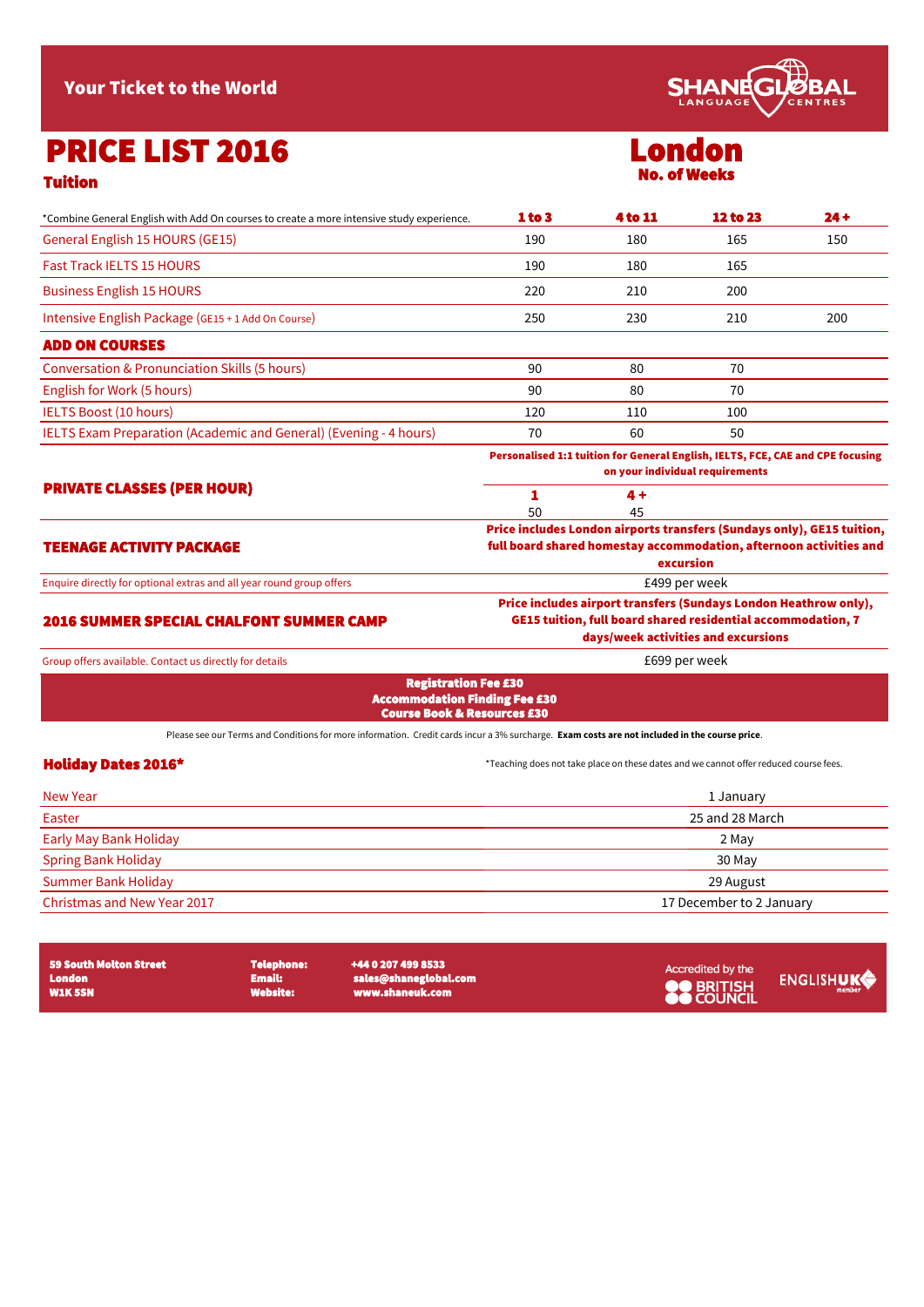Your Ticket to the World

# PRICE LIST 2016

| __ |
|----|
|----|

| *Combine General English with Add On courses to create a more intensive study experience.                                                     | 1 to 3          | <b>4 to 11</b> | <b>12 to 23</b>                                                                                                                                                         | $24 +$ |
|-----------------------------------------------------------------------------------------------------------------------------------------------|-----------------|----------------|-------------------------------------------------------------------------------------------------------------------------------------------------------------------------|--------|
| General English 15 HOURS (GE15)                                                                                                               | 190             | 180            | 165                                                                                                                                                                     | 150    |
| <b>Fast Track IELTS 15 HOURS</b>                                                                                                              | 190             | 180            | 165                                                                                                                                                                     |        |
| <b>Business English 15 HOURS</b>                                                                                                              | 220             | 210            | 200                                                                                                                                                                     |        |
| Intensive English Package (GE15 + 1 Add On Course)                                                                                            | 250             | 230            | 210                                                                                                                                                                     | 200    |
| <b>ADD ON COURSES</b>                                                                                                                         |                 |                |                                                                                                                                                                         |        |
| <b>Conversation &amp; Pronunciation Skills (5 hours)</b>                                                                                      | 90              | 80             | 70                                                                                                                                                                      |        |
| English for Work (5 hours)                                                                                                                    | 90              | 80             | 70                                                                                                                                                                      |        |
| <b>IELTS Boost (10 hours)</b>                                                                                                                 | 120             | 110            | 100                                                                                                                                                                     |        |
| IELTS Exam Preparation (Academic and General) (Evening - 4 hours)                                                                             | 70              | 60             | 50                                                                                                                                                                      |        |
|                                                                                                                                               |                 |                | Personalised 1:1 tuition for General English, IELTS, FCE, CAE and CPE focusing<br>on your individual requirements                                                       |        |
| <b>PRIVATE CLASSES (PER HOUR)</b>                                                                                                             | 1               | 4 +            |                                                                                                                                                                         |        |
|                                                                                                                                               | 50              | 45             |                                                                                                                                                                         |        |
| <b>TEENAGE ACTIVITY PACKAGE</b>                                                                                                               |                 |                | Price includes London airports transfers (Sundays only), GE15 tuition,<br>full board shared homestay accommodation, afternoon activities and<br>excursion               |        |
| Enquire directly for optional extras and all year round group offers                                                                          |                 |                | £499 per week                                                                                                                                                           |        |
| <b>2016 SUMMER SPECIAL CHALFONT SUMMER CAMP</b>                                                                                               |                 |                | Price includes airport transfers (Sundays London Heathrow only),<br>GE15 tuition, full board shared residential accommodation, 7<br>days/week activities and excursions |        |
| Group offers available. Contact us directly for details                                                                                       |                 |                | £699 per week                                                                                                                                                           |        |
| <b>Registration Fee £30</b><br><b>Accommodation Finding Fee £30</b><br><b>Course Book &amp; Resources £30</b>                                 |                 |                |                                                                                                                                                                         |        |
| Please see our Terms and Conditions for more information. Credit cards incur a 3% surcharge. Exam costs are not included in the course price. |                 |                |                                                                                                                                                                         |        |
| <b>Holiday Dates 2016*</b>                                                                                                                    |                 |                | *Teaching does not take place on these dates and we cannot offer reduced course fees.                                                                                   |        |
| <b>New Year</b>                                                                                                                               | 1 January       |                |                                                                                                                                                                         |        |
| Easter                                                                                                                                        | 25 and 28 March |                |                                                                                                                                                                         |        |
| <b>Early May Bank Holiday</b>                                                                                                                 |                 |                | 2 May                                                                                                                                                                   |        |
| <b>Spring Bank Holiday</b>                                                                                                                    |                 |                | 30 May                                                                                                                                                                  |        |
| <b>Summer Bank Holiday</b>                                                                                                                    |                 |                | 29 August                                                                                                                                                               |        |

Christmas and New Year 2017 **17 December to 2 January** 

| 59 South Molton Street<br>London<br><b>W1K 5SN</b> | <b>Telephone:</b><br>Email: I<br><b>Website:</b> | +44 0 207 499 8533<br>sales@shaneglobal.com<br>www.shaneuk.com | Accredited by the<br><b>OO BRITISH</b> | ENGLISHUK |
|----------------------------------------------------|--------------------------------------------------|----------------------------------------------------------------|----------------------------------------|-----------|
|----------------------------------------------------|--------------------------------------------------|----------------------------------------------------------------|----------------------------------------|-----------|



### London No. of Weeks